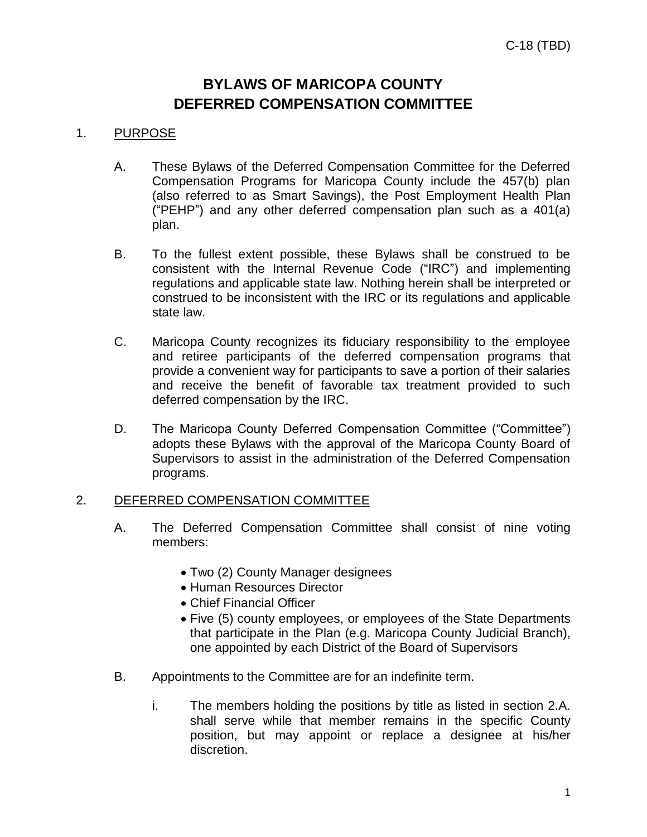# **BYLAWS OF MARICOPA COUNTY DEFERRED COMPENSATION COMMITTEE**

## 1. PURPOSE

- A. These Bylaws of the Deferred Compensation Committee for the Deferred Compensation Programs for Maricopa County include the 457(b) plan (also referred to as Smart Savings), the Post Employment Health Plan ("PEHP") and any other deferred compensation plan such as a 401(a) plan.
- B. To the fullest extent possible, these Bylaws shall be construed to be consistent with the Internal Revenue Code ("IRC") and implementing regulations and applicable state law. Nothing herein shall be interpreted or construed to be inconsistent with the IRC or its regulations and applicable state law.
- C. Maricopa County recognizes its fiduciary responsibility to the employee and retiree participants of the deferred compensation programs that provide a convenient way for participants to save a portion of their salaries and receive the benefit of favorable tax treatment provided to such deferred compensation by the IRC.
- D. The Maricopa County Deferred Compensation Committee ("Committee") adopts these Bylaws with the approval of the Maricopa County Board of Supervisors to assist in the administration of the Deferred Compensation programs.

## 2. DEFERRED COMPENSATION COMMITTEE

- A. The Deferred Compensation Committee shall consist of nine voting members:
	- Two (2) County Manager designees
	- Human Resources Director
	- Chief Financial Officer
	- Five (5) county employees, or employees of the State Departments that participate in the Plan (e.g. Maricopa County Judicial Branch), one appointed by each District of the Board of Supervisors
- B. Appointments to the Committee are for an indefinite term.
	- i. The members holding the positions by title as listed in section 2.A. shall serve while that member remains in the specific County position, but may appoint or replace a designee at his/her discretion.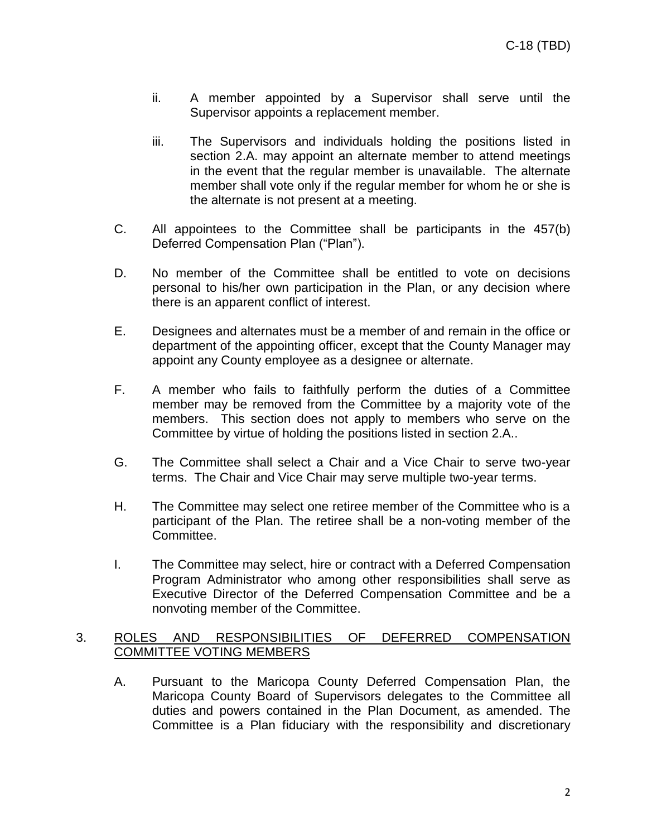- ii. A member appointed by a Supervisor shall serve until the Supervisor appoints a replacement member.
- iii. The Supervisors and individuals holding the positions listed in section 2.A. may appoint an alternate member to attend meetings in the event that the regular member is unavailable. The alternate member shall vote only if the regular member for whom he or she is the alternate is not present at a meeting.
- C. All appointees to the Committee shall be participants in the 457(b) Deferred Compensation Plan ("Plan").
- D. No member of the Committee shall be entitled to vote on decisions personal to his/her own participation in the Plan, or any decision where there is an apparent conflict of interest.
- E. Designees and alternates must be a member of and remain in the office or department of the appointing officer, except that the County Manager may appoint any County employee as a designee or alternate.
- F. A member who fails to faithfully perform the duties of a Committee member may be removed from the Committee by a majority vote of the members. This section does not apply to members who serve on the Committee by virtue of holding the positions listed in section 2.A..
- G. The Committee shall select a Chair and a Vice Chair to serve two-year terms. The Chair and Vice Chair may serve multiple two-year terms.
- H. The Committee may select one retiree member of the Committee who is a participant of the Plan. The retiree shall be a non-voting member of the Committee.
- I. The Committee may select, hire or contract with a Deferred Compensation Program Administrator who among other responsibilities shall serve as Executive Director of the Deferred Compensation Committee and be a nonvoting member of the Committee.

## 3. ROLES AND RESPONSIBILITIES OF DEFERRED COMPENSATION COMMITTEE VOTING MEMBERS

A. Pursuant to the Maricopa County Deferred Compensation Plan, the Maricopa County Board of Supervisors delegates to the Committee all duties and powers contained in the Plan Document, as amended. The Committee is a Plan fiduciary with the responsibility and discretionary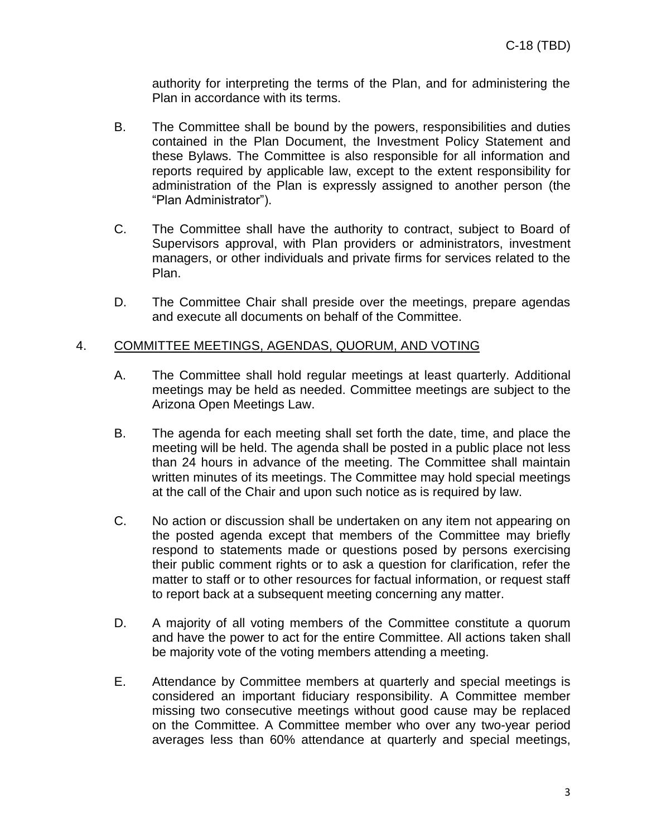authority for interpreting the terms of the Plan, and for administering the Plan in accordance with its terms.

- B. The Committee shall be bound by the powers, responsibilities and duties contained in the Plan Document, the Investment Policy Statement and these Bylaws. The Committee is also responsible for all information and reports required by applicable law, except to the extent responsibility for administration of the Plan is expressly assigned to another person (the "Plan Administrator").
- C. The Committee shall have the authority to contract, subject to Board of Supervisors approval, with Plan providers or administrators, investment managers, or other individuals and private firms for services related to the Plan.
- D. The Committee Chair shall preside over the meetings, prepare agendas and execute all documents on behalf of the Committee.

## 4. COMMITTEE MEETINGS, AGENDAS, QUORUM, AND VOTING

- A. The Committee shall hold regular meetings at least quarterly. Additional meetings may be held as needed. Committee meetings are subject to the Arizona Open Meetings Law.
- B. The agenda for each meeting shall set forth the date, time, and place the meeting will be held. The agenda shall be posted in a public place not less than 24 hours in advance of the meeting. The Committee shall maintain written minutes of its meetings. The Committee may hold special meetings at the call of the Chair and upon such notice as is required by law.
- C. No action or discussion shall be undertaken on any item not appearing on the posted agenda except that members of the Committee may briefly respond to statements made or questions posed by persons exercising their public comment rights or to ask a question for clarification, refer the matter to staff or to other resources for factual information, or request staff to report back at a subsequent meeting concerning any matter.
- D. A majority of all voting members of the Committee constitute a quorum and have the power to act for the entire Committee. All actions taken shall be majority vote of the voting members attending a meeting.
- E. Attendance by Committee members at quarterly and special meetings is considered an important fiduciary responsibility. A Committee member missing two consecutive meetings without good cause may be replaced on the Committee. A Committee member who over any two-year period averages less than 60% attendance at quarterly and special meetings,